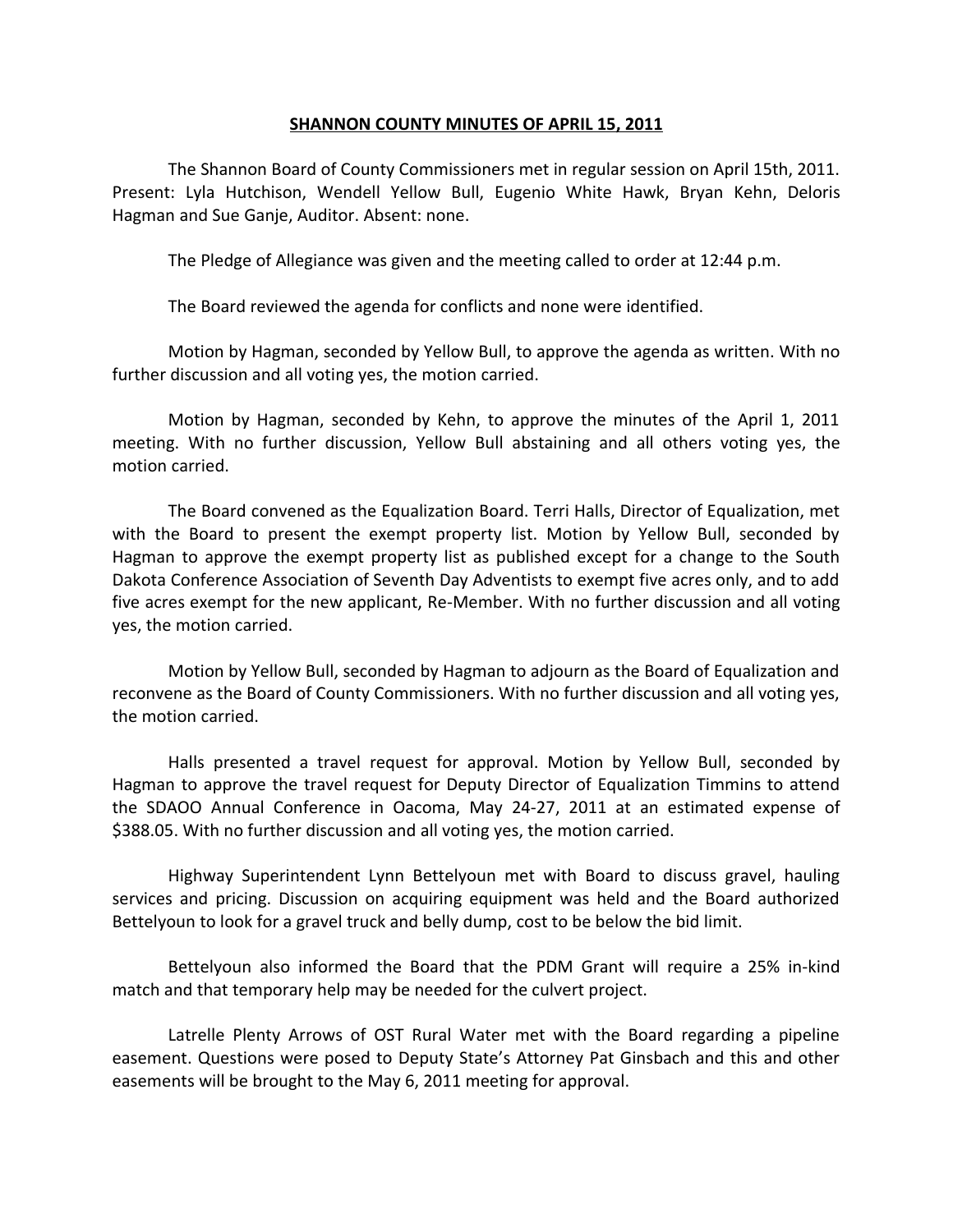## **SHANNON COUNTY MINUTES OF APRIL 15, 2011**

The Shannon Board of County Commissioners met in regular session on April 15th, 2011. Present: Lyla Hutchison, Wendell Yellow Bull, Eugenio White Hawk, Bryan Kehn, Deloris Hagman and Sue Ganje, Auditor. Absent: none.

The Pledge of Allegiance was given and the meeting called to order at 12:44 p.m.

The Board reviewed the agenda for conflicts and none were identified.

Motion by Hagman, seconded by Yellow Bull, to approve the agenda as written. With no further discussion and all voting yes, the motion carried.

Motion by Hagman, seconded by Kehn, to approve the minutes of the April 1, 2011 meeting. With no further discussion, Yellow Bull abstaining and all others voting yes, the motion carried.

The Board convened as the Equalization Board. Terri Halls, Director of Equalization, met with the Board to present the exempt property list. Motion by Yellow Bull, seconded by Hagman to approve the exempt property list as published except for a change to the South Dakota Conference Association of Seventh Day Adventists to exempt five acres only, and to add five acres exempt for the new applicant, Re-Member. With no further discussion and all voting yes, the motion carried.

Motion by Yellow Bull, seconded by Hagman to adjourn as the Board of Equalization and reconvene as the Board of County Commissioners. With no further discussion and all voting yes, the motion carried.

Halls presented a travel request for approval. Motion by Yellow Bull, seconded by Hagman to approve the travel request for Deputy Director of Equalization Timmins to attend the SDAOO Annual Conference in Oacoma, May 24-27, 2011 at an estimated expense of \$388.05. With no further discussion and all voting yes, the motion carried.

Highway Superintendent Lynn Bettelyoun met with Board to discuss gravel, hauling services and pricing. Discussion on acquiring equipment was held and the Board authorized Bettelyoun to look for a gravel truck and belly dump, cost to be below the bid limit.

Bettelyoun also informed the Board that the PDM Grant will require a 25% in-kind match and that temporary help may be needed for the culvert project.

Latrelle Plenty Arrows of OST Rural Water met with the Board regarding a pipeline easement. Questions were posed to Deputy State's Attorney Pat Ginsbach and this and other easements will be brought to the May 6, 2011 meeting for approval.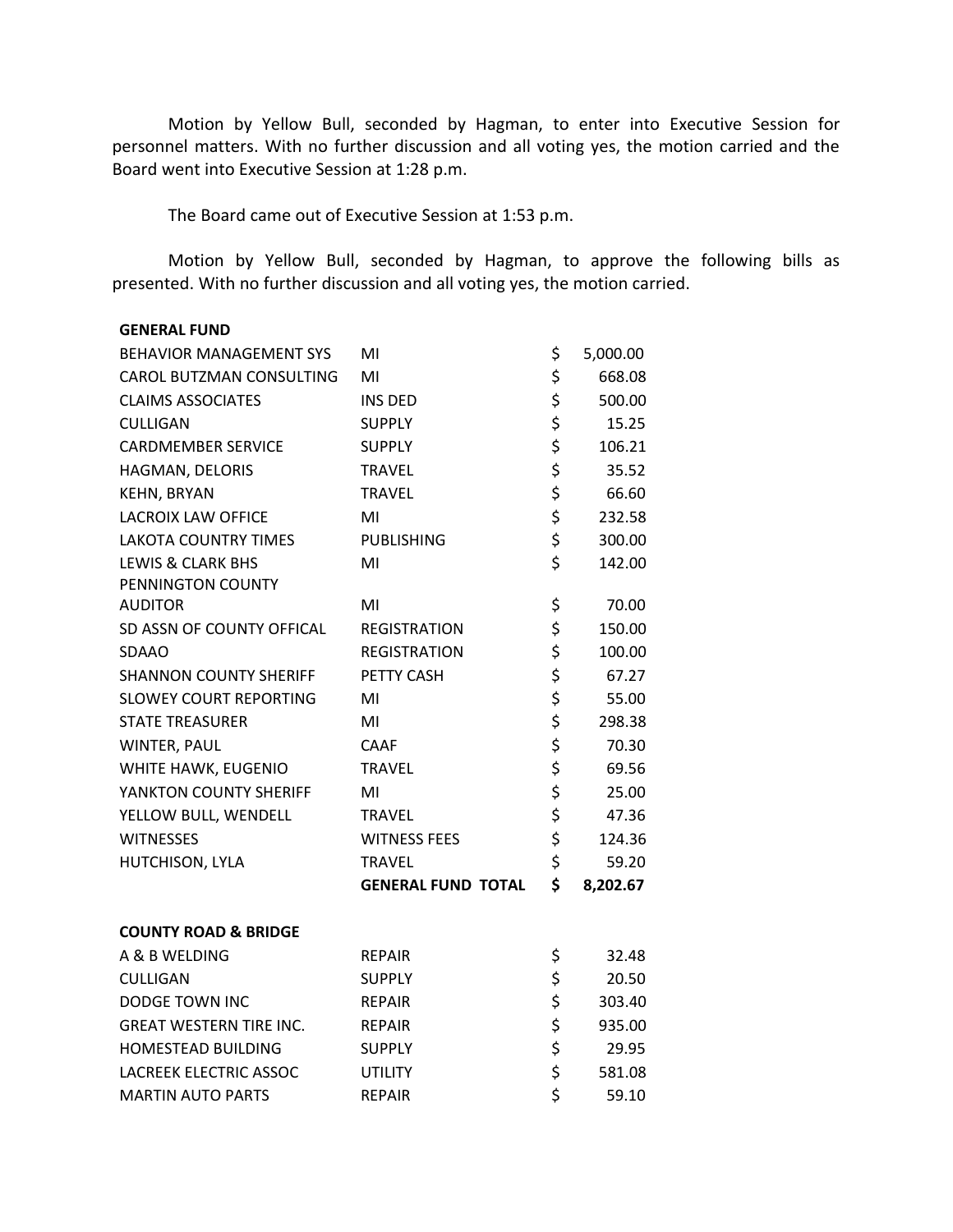Motion by Yellow Bull, seconded by Hagman, to enter into Executive Session for personnel matters. With no further discussion and all voting yes, the motion carried and the Board went into Executive Session at 1:28 p.m.

The Board came out of Executive Session at 1:53 p.m.

Motion by Yellow Bull, seconded by Hagman, to approve the following bills as presented. With no further discussion and all voting yes, the motion carried.

| <b>GENERAL FUND</b>             |                           |                |
|---------------------------------|---------------------------|----------------|
| BEHAVIOR MANAGEMENT SYS         | MI                        | \$<br>5,000.00 |
| CAROL BUTZMAN CONSULTING        | MI                        | \$<br>668.08   |
| <b>CLAIMS ASSOCIATES</b>        | INS DED                   | \$<br>500.00   |
| <b>CULLIGAN</b>                 | <b>SUPPLY</b>             | \$<br>15.25    |
| <b>CARDMEMBER SERVICE</b>       | <b>SUPPLY</b>             | \$<br>106.21   |
| HAGMAN, DELORIS                 | <b>TRAVEL</b>             | \$<br>35.52    |
| KEHN, BRYAN                     | <b>TRAVEL</b>             | \$<br>66.60    |
| <b>LACROIX LAW OFFICE</b>       | MI                        | \$<br>232.58   |
| LAKOTA COUNTRY TIMES            | <b>PUBLISHING</b>         | \$<br>300.00   |
| <b>LEWIS &amp; CLARK BHS</b>    | MI                        | \$<br>142.00   |
| PENNINGTON COUNTY               |                           |                |
| <b>AUDITOR</b>                  | MI                        | \$<br>70.00    |
| SD ASSN OF COUNTY OFFICAL       | <b>REGISTRATION</b>       | \$<br>150.00   |
| <b>SDAAO</b>                    | <b>REGISTRATION</b>       | \$<br>100.00   |
| <b>SHANNON COUNTY SHERIFF</b>   | PETTY CASH                | \$<br>67.27    |
| <b>SLOWEY COURT REPORTING</b>   | MI                        | \$<br>55.00    |
| <b>STATE TREASURER</b>          | MI                        | \$<br>298.38   |
| WINTER, PAUL                    | CAAF                      | \$<br>70.30    |
| WHITE HAWK, EUGENIO             | <b>TRAVEL</b>             | \$<br>69.56    |
| YANKTON COUNTY SHERIFF          | MI                        | \$<br>25.00    |
| YELLOW BULL, WENDELL            | <b>TRAVEL</b>             | \$<br>47.36    |
| <b>WITNESSES</b>                | <b>WITNESS FEES</b>       | \$<br>124.36   |
| HUTCHISON, LYLA                 | <b>TRAVEL</b>             | \$<br>59.20    |
|                                 | <b>GENERAL FUND TOTAL</b> | \$<br>8,202.67 |
| <b>COUNTY ROAD &amp; BRIDGE</b> |                           |                |
| A & B WELDING                   | <b>REPAIR</b>             | \$<br>32.48    |
| <b>CULLIGAN</b>                 | <b>SUPPLY</b>             | \$<br>20.50    |
| <b>DODGE TOWN INC</b>           | <b>REPAIR</b>             | \$<br>303.40   |
| <b>GREAT WESTERN TIRE INC.</b>  | <b>REPAIR</b>             | \$<br>935.00   |
| <b>HOMESTEAD BUILDING</b>       | <b>SUPPLY</b>             | \$<br>29.95    |
| LACREEK ELECTRIC ASSOC          | UTILITY                   | \$<br>581.08   |
| <b>MARTIN AUTO PARTS</b>        | <b>REPAIR</b>             | \$<br>59.10    |